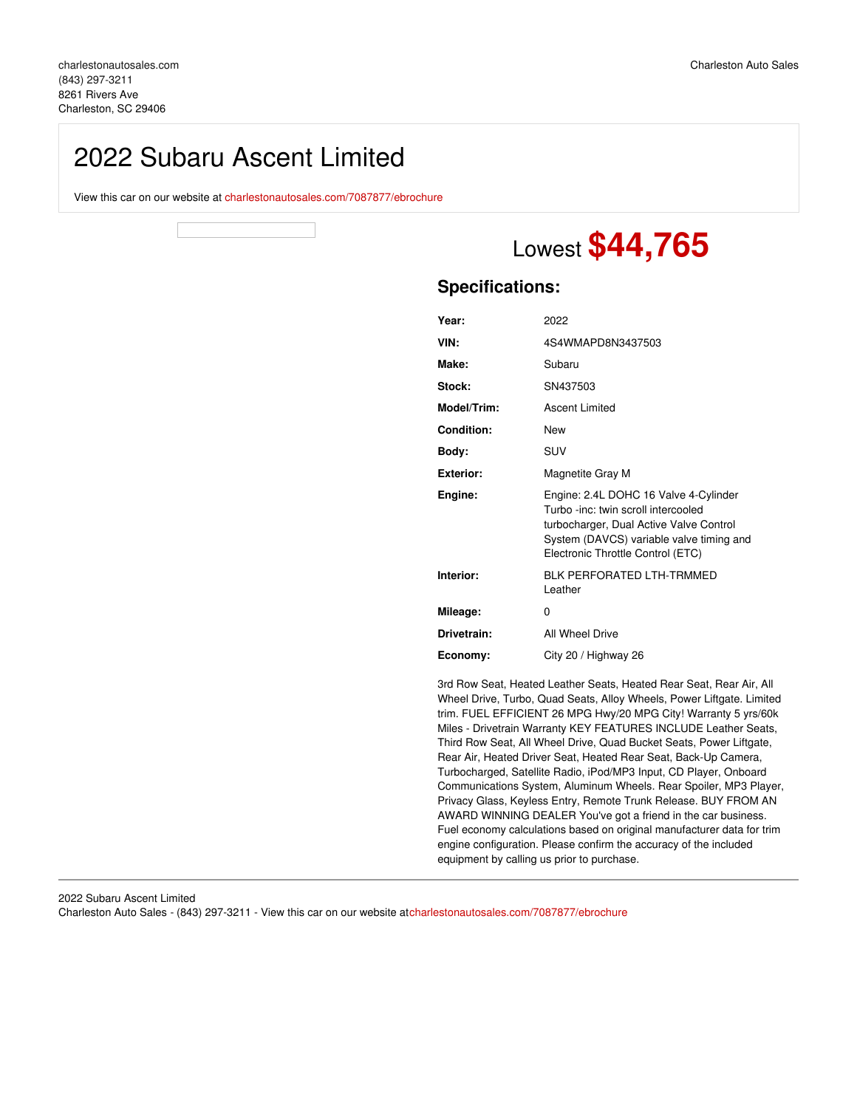## 2022 Subaru Ascent Limited

View this car on our website at [charlestonautosales.com/7087877/ebrochure](https://charlestonautosales.com/vehicle/7087877/2022-subaru-ascent-limited-charleston-sc-29406/7087877/ebrochure)

# Lowest **\$44,765**

### **Specifications:**

| Year:             | 2022                                                                                                                                                                                                     |
|-------------------|----------------------------------------------------------------------------------------------------------------------------------------------------------------------------------------------------------|
| VIN:              | 4S4WMAPD8N3437503                                                                                                                                                                                        |
| Make:             | Subaru                                                                                                                                                                                                   |
| Stock:            | SN437503                                                                                                                                                                                                 |
| Model/Trim:       | Ascent Limited                                                                                                                                                                                           |
| <b>Condition:</b> | <b>New</b>                                                                                                                                                                                               |
| Body:             | SUV                                                                                                                                                                                                      |
| Exterior:         | Magnetite Gray M                                                                                                                                                                                         |
| Engine:           | Engine: 2.4L DOHC 16 Valve 4-Cylinder<br>Turbo -inc: twin scroll intercooled<br>turbocharger, Dual Active Valve Control<br>System (DAVCS) variable valve timing and<br>Electronic Throttle Control (ETC) |
| Interior:         | <b>BI K PERFORATED I TH-TRMMED</b><br>Leather                                                                                                                                                            |
| Mileage:          | 0                                                                                                                                                                                                        |
| Drivetrain:       | All Wheel Drive                                                                                                                                                                                          |
| Economy:          | City 20 / Highway 26                                                                                                                                                                                     |

3rd Row Seat, Heated Leather Seats, Heated Rear Seat, Rear Air, All Wheel Drive, Turbo, Quad Seats, Alloy Wheels, Power Liftgate. Limited trim. FUEL EFFICIENT 26 MPG Hwy/20 MPG City! Warranty 5 yrs/60k Miles - Drivetrain Warranty KEY FEATURES INCLUDE Leather Seats, Third Row Seat, All Wheel Drive, Quad Bucket Seats, Power Liftgate, Rear Air, Heated Driver Seat, Heated Rear Seat, Back-Up Camera, Turbocharged, Satellite Radio, iPod/MP3 Input, CD Player, Onboard Communications System, Aluminum Wheels. Rear Spoiler, MP3 Player, Privacy Glass, Keyless Entry, Remote Trunk Release. BUY FROM AN AWARD WINNING DEALER You've got a friend in the car business. Fuel economy calculations based on original manufacturer data for trim engine configuration. Please confirm the accuracy of the included equipment by calling us prior to purchase.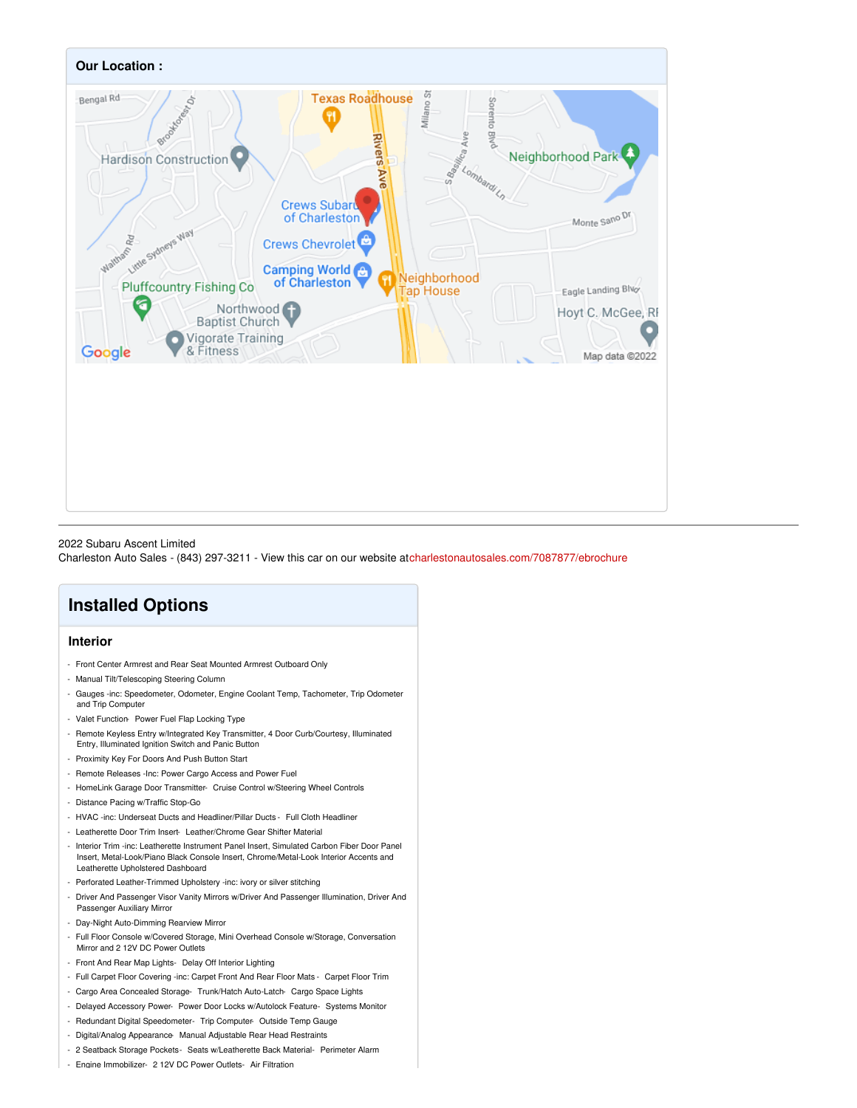

#### 2022 Subaru Ascent Limited

Charleston Auto Sales - (843) 297-3211 - View this car on our website a[tcharlestonautosales.com/7087877/ebrochure](https://charlestonautosales.com/vehicle/7087877/2022-subaru-ascent-limited-charleston-sc-29406/7087877/ebrochure)

## **Installed Options**

#### **Interior**

- Front Center Armrest and Rear Seat Mounted Armrest Outboard Only
- Manual Tilt/Telescoping Steering Column
- Gauges -inc: Speedometer, Odometer, Engine Coolant Temp, Tachometer, Trip Odometer and Trip Computer
- Valet Function- Power Fuel Flap Locking Type
- Remote Keyless Entry w/Integrated Key Transmitter, 4 Door Curb/Courtesy, Illuminated Entry, Illuminated Ignition Switch and Panic Button
- Proximity Key For Doors And Push Button Start
- Remote Releases -Inc: Power Cargo Access and Power Fuel
- HomeLink Garage Door Transmitter- Cruise Control w/Steering Wheel Controls
- Distance Pacing w/Traffic Stop-Go
- HVAC -inc: Underseat Ducts and Headliner/Pillar Ducts Full Cloth Headliner
- Leatherette Door Trim Insert- Leather/Chrome Gear Shifter Material
- Interior Trim -inc: Leatherette Instrument Panel Insert, Simulated Carbon Fiber Door Panel Insert, Metal-Look/Piano Black Console Insert, Chrome/Metal-Look Interior Accents and Leatherette Upholstered Dashboard
- Perforated Leather-Trimmed Upholstery -inc: ivory or silver stitching
- Driver And Passenger Visor Vanity Mirrors w/Driver And Passenger Illumination, Driver And Passenger Auxiliary Mirror
- Day-Night Auto-Dimming Rearview Mirror
- Full Floor Console w/Covered Storage, Mini Overhead Console w/Storage, Conversation Mirror and 2 12V DC Power Outlets
- Front And Rear Map Lights- Delay Off Interior Lighting
- Full Carpet Floor Covering -inc: Carpet Front And Rear Floor Mats Carpet Floor Trim
- Cargo Area Concealed Storage- Trunk/Hatch Auto-Latch- Cargo Space Lights
- Delayed Accessory Power- Power Door Locks w/Autolock Feature- Systems Monitor
- Redundant Digital Speedometer- Trip Computer- Outside Temp Gauge
- Digital/Analog Appearance- Manual Adjustable Rear Head Restraints
- 2 Seatback Storage Pockets- Seats w/Leatherette Back Material- Perimeter Alarm
- Engine Immobilizer- 2 12V DC Power Outlets- Air Filtration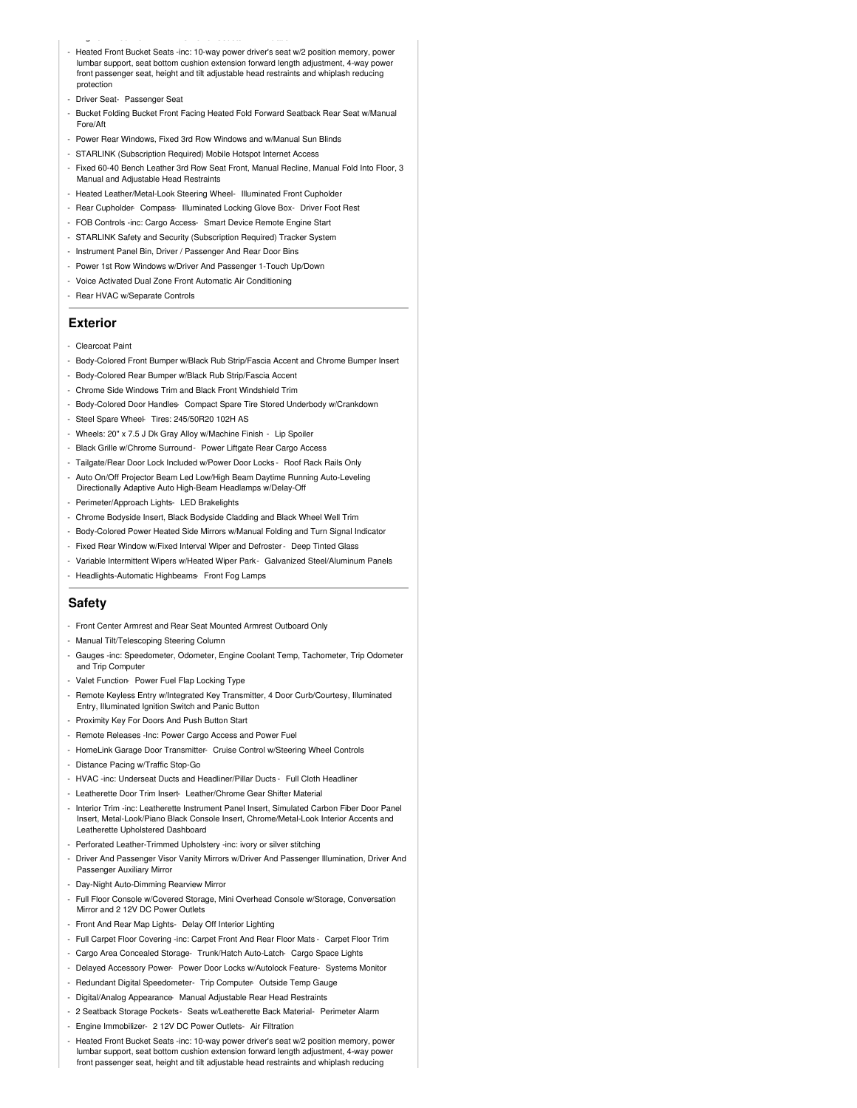- Heated Front Bucket Seats -inc: 10-way power driver's seat w/2 position memory, power lumbar support, seat bottom cushion extension forward length adjustment, 4-way power front passenger seat, height and tilt adjustable head restraints and whiplash reducing protection
- Driver Seat- Passenger Seat
- Bucket Folding Bucket Front Facing Heated Fold Forward Seatback Rear Seat w/Manual Fore/Aft
- Power Rear Windows, Fixed 3rd Row Windows and w/Manual Sun Blinds
- STARLINK (Subscription Required) Mobile Hotspot Internet Access

- Engine Immobilizer- 2 12V DC Power Outlets- Air Filtration

- Fixed 60-40 Bench Leather 3rd Row Seat Front, Manual Recline, Manual Fold Into Floor, 3 Manual and Adjustable Head Restraints
- Heated Leather/Metal-Look Steering Wheel- Illuminated Front Cupholder
- Rear Cupholder- Compass- Illuminated Locking Glove Box- Driver Foot Rest
- FOB Controls -inc: Cargo Access- Smart Device Remote Engine Start
- STARLINK Safety and Security (Subscription Required) Tracker System
- Instrument Panel Bin, Driver / Passenger And Rear Door Bins
- Power 1st Row Windows w/Driver And Passenger 1-Touch Up/Down
- Voice Activated Dual Zone Front Automatic Air Conditioning
- Rear HVAC w/Separate Controls

#### **Exterior**

- Clearcoat Paint
- Body-Colored Front Bumper w/Black Rub Strip/Fascia Accent and Chrome Bumper Insert
- Body-Colored Rear Bumper w/Black Rub Strip/Fascia Accent
- Chrome Side Windows Trim and Black Front Windshield Trim
- Body-Colored Door Handles- Compact Spare Tire Stored Underbody w/Crankdown
- Steel Spare Wheel- Tires: 245/50R20 102H AS
- Wheels: 20" x 7.5 J Dk Gray Alloy w/Machine Finish Lip Spoiler
- Black Grille w/Chrome Surround- Power Liftgate Rear Cargo Access
- Tailgate/Rear Door Lock Included w/Power Door Locks Roof Rack Rails Only
- Auto On/Off Projector Beam Led Low/High Beam Daytime Running Auto-Leveling Directionally Adaptive Auto High-Beam Headlamps w/Delay-Off
- Perimeter/Approach Lights- LED Brakelights
- Chrome Bodyside Insert, Black Bodyside Cladding and Black Wheel Well Trim
- Body-Colored Power Heated Side Mirrors w/Manual Folding and Turn Signal Indicator
- Fixed Rear Window w/Fixed Interval Wiper and Defroster- Deep Tinted Glass
- Variable Intermittent Wipers w/Heated Wiper Park- Galvanized Steel/Aluminum Panels
- Headlights-Automatic Highbeams- Front Fog Lamps

#### **Safety**

- Front Center Armrest and Rear Seat Mounted Armrest Outboard Only

#### - Manual Tilt/Telescoping Steering Column

- Gauges -inc: Speedometer, Odometer, Engine Coolant Temp, Tachometer, Trip Odometer and Trip Computer
- Valet Function- Power Fuel Flap Locking Type
- Remote Keyless Entry w/Integrated Key Transmitter, 4 Door Curb/Courtesy, Illuminated Entry, Illuminated Ignition Switch and Panic Button
- Proximity Key For Doors And Push Button Start
- Remote Releases -Inc: Power Cargo Access and Power Fuel
- HomeLink Garage Door Transmitter- Cruise Control w/Steering Wheel Controls
- Distance Pacing w/Traffic Stop-Go
- HVAC -inc: Underseat Ducts and Headliner/Pillar Ducts Full Cloth Headliner
- Leatherette Door Trim Insert- Leather/Chrome Gear Shifter Material
- Interior Trim -inc: Leatherette Instrument Panel Insert, Simulated Carbon Fiber Door Panel Insert, Metal-Look/Piano Black Console Insert, Chrome/Metal-Look Interior Accents and Leatherette Upholstered Dashboard
- Perforated Leather-Trimmed Upholstery -inc: ivory or silver stitching
- Driver And Passenger Visor Vanity Mirrors w/Driver And Passenger Illumination, Driver And Passenger Auxiliary Mirror
- Day-Night Auto-Dimming Rearview Mirror
- Full Floor Console w/Covered Storage, Mini Overhead Console w/Storage, Conversation Mirror and 2 12V DC Power Outlets
- Front And Rear Map Lights- Delay Off Interior Lighting
- Full Carpet Floor Covering -inc: Carpet Front And Rear Floor Mats Carpet Floor Trim
- Cargo Area Concealed Storage- Trunk/Hatch Auto-Latch- Cargo Space Lights
- Delayed Accessory Power- Power Door Locks w/Autolock Feature- Systems Monitor
- Redundant Digital Speedometer- Trip Computer- Outside Temp Gauge
- Digital/Analog Appearance- Manual Adjustable Rear Head Restraints
- 2 Seatback Storage Pockets- Seats w/Leatherette Back Material- Perimeter Alarm
- Engine Immobilizer- 2 12V DC Power Outlets- Air Filtration
- Heated Front Bucket Seats -inc: 10-way power driver's seat w/2 position memory, power lumbar support, seat bottom cushion extension forward length adjustment, 4-way power front passenger seat, height and tilt adjustable head restraints and whiplash reducing